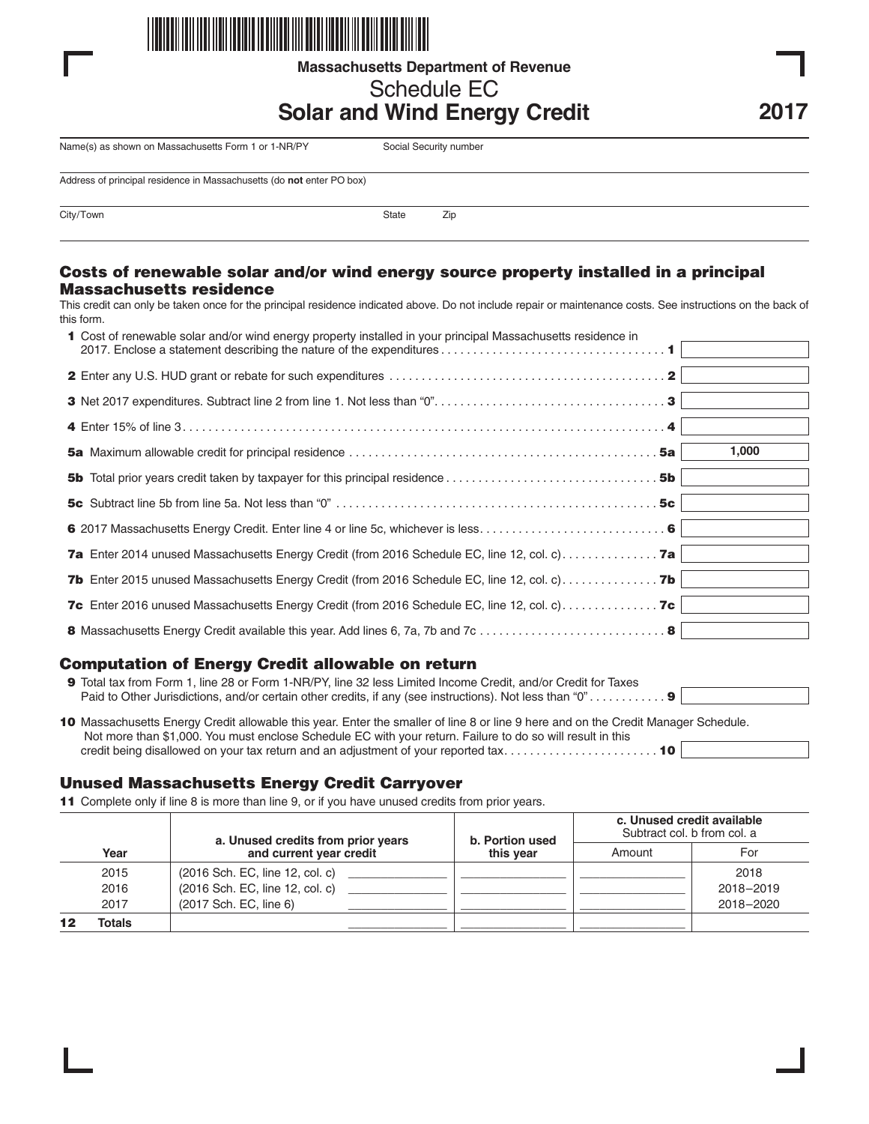

**Massachusetts Department of Revenue**

# Schedule EC

# **Solar and Wind Energy Credit**

Name(s) as shown on Massachusetts Form 1 or 1-NR/PY Social Security number

Address of principal residence in Massachusetts (do **not** enter PO box)

City/Town 2ip

#### **Costs of renewable solar and/or wind energy source property installed in a principal Massachusetts residence**

This credit can only be taken once for the principal residence indicated above. Do not include repair or maintenance costs. See instructions on the back of this form.

| 1 Cost of renewable solar and/or wind energy property installed in your principal Massachusetts residence in |       |
|--------------------------------------------------------------------------------------------------------------|-------|
|                                                                                                              |       |
|                                                                                                              |       |
|                                                                                                              |       |
|                                                                                                              | 1,000 |
|                                                                                                              |       |
|                                                                                                              |       |
|                                                                                                              |       |
|                                                                                                              |       |
| <b>7b</b> Enter 2015 unused Massachusetts Energy Credit (from 2016 Schedule EC, line 12, col. c) <b>7b</b>   |       |
|                                                                                                              |       |
|                                                                                                              |       |

### **Computation of Energy Credit allowable on return**

| 9 Total tax from Form 1, line 28 or Form 1-NR/PY, line 32 less Limited Income Credit, and/or Credit for Taxes                                                                                                                                    |  |  |  |
|--------------------------------------------------------------------------------------------------------------------------------------------------------------------------------------------------------------------------------------------------|--|--|--|
| 10 Massachusetts Energy Credit allowable this year. Enter the smaller of line 8 or line 9 here and on the Credit Manager Schedule.<br>Not more than \$1,000. You must enclose Schedule EC with your return. Failure to do so will result in this |  |  |  |
|                                                                                                                                                                                                                                                  |  |  |  |

### **Unused Massachusetts Energy Credit Carryover**

**11** Complete only if line 8 is more than line 9, or if you have unused credits from prior years.

|        | a. Unused credits from prior years<br>and current year credit | b. Portion used<br>this vear | c. Unused credit available<br>Subtract col. b from col. a |           |
|--------|---------------------------------------------------------------|------------------------------|-----------------------------------------------------------|-----------|
| Year   |                                                               |                              | Amount                                                    | For       |
| 2015   | (2016 Sch. EC, line 12, col. c)                               |                              |                                                           | 2018      |
| 2016   | (2016 Sch. EC, line 12, col. c)                               |                              |                                                           | 2018-2019 |
| 2017   | (2017 Sch. EC, line 6)                                        |                              |                                                           | 2018-2020 |
| Totals |                                                               |                              |                                                           |           |